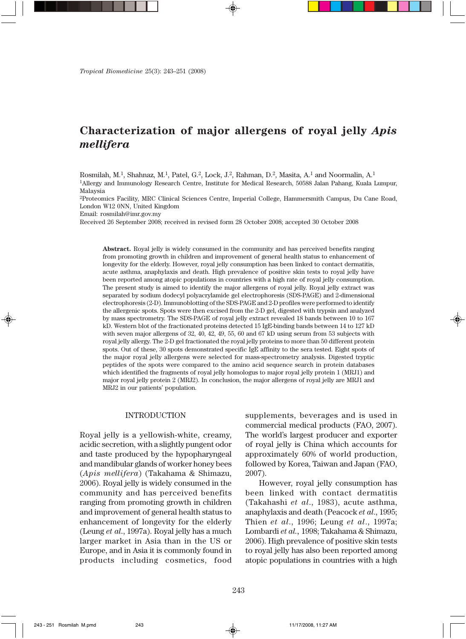# **Characterization of major allergens of royal jelly** *Apis mellifera*

Rosmilah, M.1, Shahnaz, M.1, Patel, G.2, Lock, J.2, Rahman, D.2, Masita, A.1 and Noormalin, A.1 1Allergy and Immunology Research Centre, Institute for Medical Research, 50588 Jalan Pahang, Kuala Lumpur, Malaysia

2Proteomics Facility, MRC Clinical Sciences Centre, Imperial College, Hammersmith Campus, Du Cane Road, London W12 0NN, United Kingdom

Email: rosmilah@imr.gov.my

Received 26 September 2008; received in revised form 28 October 2008; accepted 30 October 2008

**Abstract.** Royal jelly is widely consumed in the community and has perceived benefits ranging from promoting growth in children and improvement of general health status to enhancement of longevity for the elderly. However, royal jelly consumption has been linked to contact dermatitis, acute asthma, anaphylaxis and death. High prevalence of positive skin tests to royal jelly have been reported among atopic populations in countries with a high rate of royal jelly consumption. The present study is aimed to identify the major allergens of royal jelly. Royal jelly extract was separated by sodium dodecyl polyacrylamide gel electrophoresis (SDS-PAGE) and 2-dimensional electrophoresis (2-D). Immunoblotting of the SDS-PAGE and 2-D profiles were performed to identify the allergenic spots. Spots were then excised from the 2-D gel, digested with trypsin and analyzed by mass spectrometry. The SDS-PAGE of royal jelly extract revealed 18 bands between 10 to 167 kD. Western blot of the fractionated proteins detected 15 IgE-binding bands between 14 to 127 kD with seven major allergens of 32, 40, 42, 49, 55, 60 and 67 kD using serum from 53 subjects with royal jelly allergy. The 2-D gel fractionated the royal jelly proteins to more than 50 different protein spots. Out of these, 30 spots demonstrated specific IgE affinity to the sera tested. Eight spots of the major royal jelly allergens were selected for mass-spectrometry analysis. Digested tryptic peptides of the spots were compared to the amino acid sequence search in protein databases which identified the fragments of royal jelly homologus to major royal jelly protein 1 (MRJ1) and major royal jelly protein 2 (MRJ2). In conclusion, the major allergens of royal jelly are MRJ1 and MRJ2 in our patients' population.

#### INTRODUCTION

Royal jelly is a yellowish-white, creamy, acidic secretion, with a slightly pungent odor and taste produced by the hypopharyngeal and mandibular glands of worker honey bees (*Apis mellifera*) (Takahama & Shimazu, 2006). Royal jelly is widely consumed in the community and has perceived benefits ranging from promoting growth in children and improvement of general health status to enhancement of longevity for the elderly (Leung *et al*., 1997a). Royal jelly has a much larger market in Asia than in the US or Europe, and in Asia it is commonly found in products including cosmetics, food

supplements, beverages and is used in commercial medical products (FAO, 2007). The world's largest producer and exporter of royal jelly is China which accounts for approximately 60% of world production, followed by Korea, Taiwan and Japan (FAO, 2007).

However, royal jelly consumption has been linked with contact dermatitis (Takahashi *et al*., 1983), acute asthma, anaphylaxis and death (Peacock *et al*., 1995; Thien *et al*., 1996; Leung *et al*., 1997a; Lombardi *et al.,* 1998; Takahama & Shimazu, 2006). High prevalence of positive skin tests to royal jelly has also been reported among atopic populations in countries with a high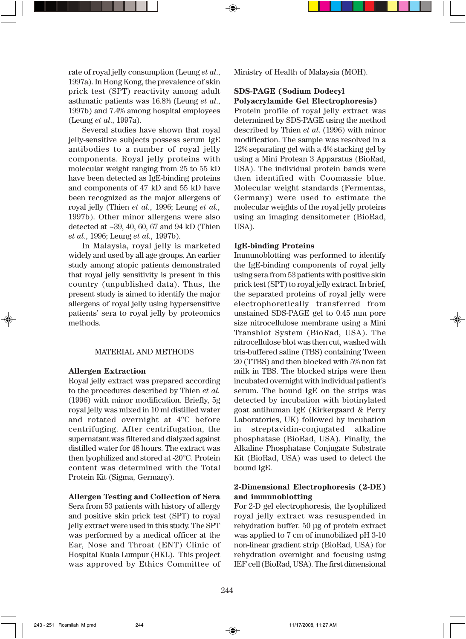rate of royal jelly consumption (Leung *et al*., 1997a). In Hong Kong, the prevalence of skin prick test (SPT) reactivity among adult asthmatic patients was 16.8% (Leung *et al*., 1997b) and 7.4% among hospital employees (Leung *et al*., 1997a).

Several studies have shown that royal jelly-sensitive subjects possess serum IgE antibodies to a number of royal jelly components. Royal jelly proteins with molecular weight ranging from 25 to 55 kD have been detected as IgE-binding proteins and components of 47 kD and 55 kD have been recognized as the major allergens of royal jelly (Thien *et al.,* 1996; Leung *et al.,* 1997b). Other minor allergens were also detected at ~39, 40, 60, 67 and 94 kD (Thien *et al.*, 1996; Leung *et al.,* 1997b).

In Malaysia, royal jelly is marketed widely and used by all age groups. An earlier study among atopic patients demonstrated that royal jelly sensitivity is present in this country (unpublished data). Thus, the present study is aimed to identify the major allergens of royal jelly using hypersensitive patients' sera to royal jelly by proteomics methods.

#### MATERIAL AND METHODS

#### **Allergen Extraction**

Royal jelly extract was prepared according to the procedures described by Thien *et al.* (1996) with minor modification. Briefly, 5g royal jelly was mixed in 10 ml distilled water and rotated overnight at 4ºC before centrifuging. After centrifugation, the supernatant was filtered and dialyzed against distilled water for 48 hours. The extract was then lyophilized and stored at -20ºC. Protein content was determined with the Total Protein Kit (Sigma, Germany).

#### **Allergen Testing and Collection of Sera**

Sera from 53 patients with history of allergy and positive skin prick test (SPT) to royal jelly extract were used in this study. The SPT was performed by a medical officer at the Ear, Nose and Throat (ENT) Clinic of Hospital Kuala Lumpur (HKL). This project was approved by Ethics Committee of Ministry of Health of Malaysia (MOH).

# **SDS-PAGE (Sodium Dodecyl Polyacrylamide Gel Electrophoresis)**

Protein profile of royal jelly extract was determined by SDS-PAGE using the method described by Thien *et al*. (1996) with minor modification. The sample was resolved in a 12% separating gel with a 4% stacking gel by using a Mini Protean 3 Apparatus (BioRad, USA). The individual protein bands were then identified with Coomassie blue. Molecular weight standards (Fermentas, Germany) were used to estimate the molecular weights of the royal jelly proteins using an imaging densitometer (BioRad, USA).

## **IgE-binding Proteins**

Immunoblotting was performed to identify the IgE-binding components of royal jelly using sera from 53 patients with positive skin prick test (SPT) to royal jelly extract. In brief, the separated proteins of royal jelly were electrophoretically transferred from unstained SDS-PAGE gel to 0.45 mm pore size nitrocellulose membrane using a Mini Transblot System (BioRad, USA). The nitrocellulose blot was then cut, washed with tris-buffered saline (TBS) containing Tween 20 (TTBS) and then blocked with 5% non fat milk in TBS. The blocked strips were then incubated overnight with individual patient's serum. The bound IgE on the strips was detected by incubation with biotinylated goat antihuman IgE (Kirkergaard & Perry Laboratories, UK) followed by incubation in streptavidin-conjugated alkaline phosphatase (BioRad, USA). Finally, the Alkaline Phosphatase Conjugate Substrate Kit (BioRad, USA) was used to detect the bound IgE.

# **2-Dimensional Electrophoresis (2-DE) and immunoblotting**

For 2-D gel electrophoresis, the lyophilized royal jelly extract was resuspended in rehydration buffer. 50 µg of protein extract was applied to 7 cm of immobilized pH 3-10 non-linear gradient strip (BioRad, USA) for rehydration overnight and focusing using IEF cell (BioRad, USA). The first dimensional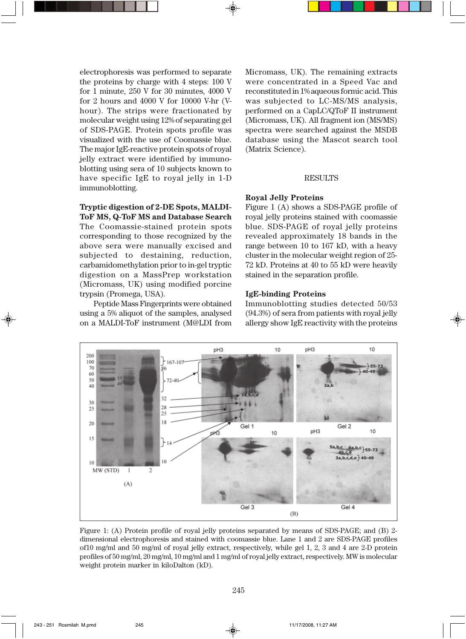electrophoresis was performed to separate the proteins by charge with 4 steps: 100 V for 1 minute, 250 V for 30 minutes, 4000 V for 2 hours and 4000 V for 10000 V-hr (Vhour). The strips were fractionated by molecular weight using 12% of separating gel of SDS-PAGE. Protein spots profile was visualized with the use of Coomassie blue. The major IgE-reactive protein spots of royal jelly extract were identified by immunoblotting using sera of 10 subjects known to have specific IgE to royal jelly in 1-D immunoblotting.

# **Tryptic digestion of 2-DE Spots, MALDI-ToF MS, Q-ToF MS and Database Search**

The Coomassie-stained protein spots corresponding to those recognized by the above sera were manually excised and subjected to destaining, reduction, carbamidomethylation prior to in-gel tryptic digestion on a MassPrep workstation (Micromass, UK) using modified porcine trypsin (Promega, USA).

Peptide Mass Fingerprints were obtained using a 5% aliquot of the samples, analysed on a MALDI-ToF instrument (M@LDI from

Micromass, UK). The remaining extracts were concentrated in a Speed Vac and reconstituted in 1% aqueous formic acid. This was subjected to LC-MS/MS analysis, performed on a CapLC/QToF II instrument (Micromass, UK). All fragment ion (MS/MS) spectra were searched against the MSDB database using the Mascot search tool (Matrix Science).

# RESULTS

#### **Royal Jelly Proteins**

Figure 1 (A) shows a SDS-PAGE profile of royal jelly proteins stained with coomassie blue. SDS-PAGE of royal jelly proteins revealed approximately 18 bands in the range between 10 to 167 kD, with a heavy cluster in the molecular weight region of 25- 72 kD. Proteins at 40 to 55 kD were heavily stained in the separation profile.

# **IgE-binding Proteins**

Immunoblotting studies detected 50/53 (94.3%) of sera from patients with royal jelly allergy show IgE reactivity with the proteins



Figure 1: (A) Protein profile of royal jelly proteins separated by means of SDS-PAGE; and (B) 2 dimensional electrophoresis and stained with coomassie blue. Lane 1 and 2 are SDS-PAGE profiles of10 mg/ml and 50 mg/ml of royal jelly extract, respectively, while gel 1, 2, 3 and 4 are 2-D protein profiles of 50 mg/ml, 20 mg/ml, 10 mg/ml and 1 mg/ml of royal jelly extract, respectively. MW is molecular weight protein marker in kiloDalton (kD).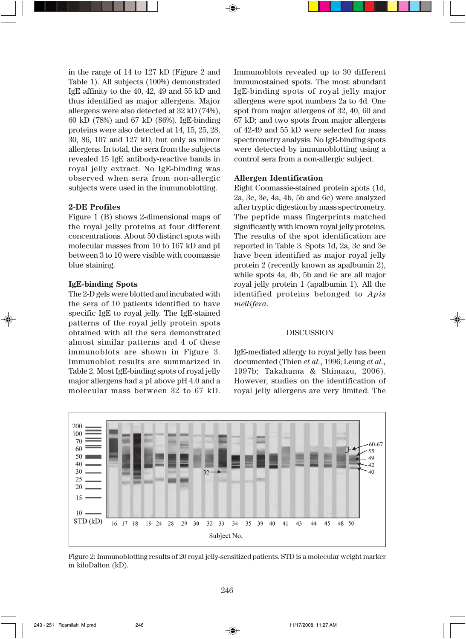in the range of 14 to 127 kD (Figure 2 and Table 1). All subjects (100%) demonstrated IgE affinity to the 40, 42, 49 and 55 kD and thus identified as major allergens. Major allergens were also detected at 32 kD (74%), 60 kD (78%) and 67 kD (86%). IgE-binding proteins were also detected at 14, 15, 25, 28, 30, 86, 107 and 127 kD, but only as minor allergens. In total, the sera from the subjects revealed 15 IgE antibody-reactive bands in royal jelly extract. No IgE-binding was observed when sera from non-allergic subjects were used in the immunoblotting.

# **2-DE Profiles**

Figure 1 (B) shows 2-dimensional maps of the royal jelly proteins at four different concentrations. About 50 distinct spots with molecular masses from 10 to 167 kD and pI between 3 to 10 were visible with coomassie blue staining.

# **IgE-binding Spots**

The 2-D gels were blotted and incubated with the sera of 10 patients identified to have specific IgE to royal jelly. The IgE-stained patterns of the royal jelly protein spots obtained with all the sera demonstrated almost similar patterns and 4 of these immunoblots are shown in Figure 3. Immunoblot results are summarized in Table 2. Most IgE-binding spots of royal jelly major allergens had a pI above pH 4.0 and a molecular mass between 32 to 67 kD.

Immunoblots revealed up to 30 different immunostained spots. The most abundant IgE-binding spots of royal jelly major allergens were spot numbers 2a to 4d. One spot from major allergens of 32, 40, 60 and 67 kD; and two spots from major allergens of 42-49 and 55 kD were selected for mass spectrometry analysis. No IgE-binding spots were detected by immunoblotting using a control sera from a non-allergic subject.

## **Allergen Identification**

Eight Coomassie-stained protein spots (1d, 2a, 3c, 3e, 4a, 4b, 5b and 6c) were analyzed after tryptic digestion by mass spectrometry. The peptide mass fingerprints matched significantly with known royal jelly proteins. The results of the spot identification are reported in Table 3. Spots 1d, 2a, 3c and 3e have been identified as major royal jelly protein 2 (recently known as apalbumin 2), while spots 4a, 4b, 5b and 6c are all major royal jelly protein 1 (apalbumin 1)*.* All the identified proteins belonged to *Apis mellifera*.

# **DISCUSSION**

IgE-mediated allergy to royal jelly has been documented (Thien *et al.,* 1996; Leung *et al.,* 1997b; Takahama & Shimazu, 2006). However, studies on the identification of royal jelly allergens are very limited. The



Figure 2: Immunoblotting results of 20 royal jelly-sensitized patients. STD is a molecular weight marker in kiloDalton (kD).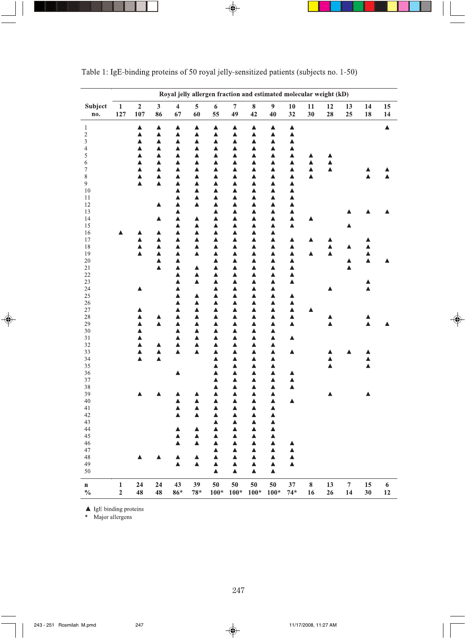|                          | Royal jelly allergen fraction and estimated molecular weight (kD) |                       |                               |                               |                               |                        |                               |                       |                      |                       |           |          |                  |          |                  |
|--------------------------|-------------------------------------------------------------------|-----------------------|-------------------------------|-------------------------------|-------------------------------|------------------------|-------------------------------|-----------------------|----------------------|-----------------------|-----------|----------|------------------|----------|------------------|
| Subject<br>no.           | $\mathbf 1$<br>127                                                | $\overline{2}$<br>107 | $\overline{\mathbf{3}}$<br>86 | $\overline{\mathbf{4}}$<br>67 | $\overline{\mathbf{5}}$<br>60 | $\boldsymbol{6}$<br>55 | $\overline{\mathbf{7}}$<br>49 | $\pmb{8}$<br>42       | $\overline{9}$<br>40 | 10<br>32              | 11<br>30  | 12<br>28 | 13<br>25         | 14<br>18 | 15<br>14         |
| $\mathbf{1}$             |                                                                   | $\blacktriangle$      | ▲                             | ▲                             | $\blacktriangle$              | ▲                      | ▲                             | Δ                     | ▲                    | Δ                     |           |          |                  |          | $\blacktriangle$ |
|                          |                                                                   | ▲                     | ▲                             | Δ                             | ▲                             | ▲                      | ▲                             | ▲                     | ▲                    | $\blacktriangle$      |           |          |                  |          |                  |
| $\frac{2}{3}$            |                                                                   | ▲                     | ▲                             | Δ                             | ▲                             | ▲                      | ▲                             | Δ                     | ▲                    | $\blacktriangle$      |           |          |                  |          |                  |
| $\overline{\mathcal{L}}$ |                                                                   | ▲                     | ▲                             | ▲                             | ▲                             | ▲                      | ▲                             | ▲                     | ▲                    | $\blacktriangle$      |           |          |                  |          |                  |
| 5                        |                                                                   | ▲                     | ▲                             | ▲                             | ▲                             | ▲                      | ▲                             | ▲                     | ▲                    | Δ                     | ▲         | ▲        |                  |          |                  |
| 6<br>$\overline{7}$      |                                                                   | ▲<br>▲                | Â<br>▲                        | Δ<br>Δ                        | ▲<br>▲                        | $\blacktriangle$<br>▲  | ▲                             | $\blacktriangle$<br>Δ | ▲<br>Δ               | $\blacktriangle$      | ▲<br>Δ    | ▲<br>▲   |                  |          |                  |
| $\,$ 8 $\,$              |                                                                   | $\blacktriangle$      | Δ                             | ▲                             | ▲                             | ▲                      | ▲<br>▲                        | ▲                     | ▲                    | ▲<br>▲                | ▲         |          |                  |          |                  |
| 9                        |                                                                   | Â                     | Â                             | ▲                             | ▲                             | ▲                      | Δ                             | ▲                     | ▲                    | ▲                     |           |          |                  |          |                  |
| 10                       |                                                                   |                       |                               | ▲                             | ▲                             | ▲                      | ▲                             | Δ                     | ▲                    | $\blacktriangle$      |           |          |                  |          |                  |
| 11                       |                                                                   |                       |                               | ▲                             | Δ                             | ▲                      | ▲                             | Δ                     | ▲                    | ▲                     |           |          |                  |          |                  |
| 12                       |                                                                   |                       | ▲                             | $\blacktriangle$              | ▲                             | ▲                      | ▲                             | Δ                     | ▲                    | ▲                     |           |          |                  |          |                  |
| 13<br>14                 |                                                                   |                       | ▲                             | ▲<br>$\blacktriangle$         | ▲                             | ▲<br>▲                 | Δ<br>▲                        | ▲<br>Δ                | ▲<br>▲               | ▲<br>$\blacktriangle$ | ▴         |          |                  |          |                  |
| 15                       |                                                                   |                       |                               | Δ                             | ▲                             | ▲                      | Δ                             | Δ                     | ▲                    | $\blacktriangle$      |           |          |                  |          |                  |
| 16                       |                                                                   | ▲                     | Δ                             | Δ                             | ▲                             | ▲                      | ▲                             | ▲                     | ▲                    |                       |           |          |                  |          |                  |
| 17                       |                                                                   | ▲                     | ▲                             | Δ                             | ▲                             | ▲                      | Δ                             | $\blacktriangle$      | ▲                    | Δ                     |           |          |                  |          |                  |
| 18                       |                                                                   | ▲                     | Δ                             | Δ                             | Δ                             | ▲                      | ▲                             | Δ                     | ▲                    | Δ                     |           | ▲        | ▲                |          |                  |
| 19                       |                                                                   | Â                     | ▲                             | $\blacktriangle$              | ▲                             | $\blacktriangle$       | ▲                             | Δ                     | Δ                    | Δ                     | Δ         | Δ        |                  | Δ        |                  |
| 20<br>21                 |                                                                   |                       | ▲<br>$\blacktriangle$         | ▲<br>$\blacktriangle$         | ▲                             | ▲<br>▲                 | ▲<br>▲                        | ▲<br>Δ                | ▲<br>▲               | ▲<br>$\blacktriangle$ |           |          | ▲<br>▲           | ٨        |                  |
| 22                       |                                                                   |                       |                               | Δ                             | ▲                             | ▲                      | Δ                             | Δ                     | ▲                    | ▲                     |           |          |                  |          |                  |
| 23                       |                                                                   |                       |                               | Δ                             | ▲                             | ▲                      | ▲                             | Δ                     | ▲                    | Δ                     |           |          |                  |          |                  |
| 24                       |                                                                   |                       |                               | Δ                             |                               | ▲                      | ▲                             | ▲                     | ▲                    |                       |           |          |                  |          |                  |
| 25                       |                                                                   |                       |                               | ▲                             | ▲                             | ▲                      | ▲                             | Δ                     | ▲                    | ▲                     |           |          |                  |          |                  |
| 26                       |                                                                   |                       |                               | ▲                             | ▲                             | ▲                      | ▲                             | Δ                     | ▲                    | ▲                     |           |          |                  |          |                  |
| $27\,$<br>28             |                                                                   | ▲                     |                               | ▲<br>▲                        | ▲<br>▲                        | ▲<br>▲                 | ▲<br>▲                        | ▲<br>▲                | ▲<br>▲               | ▲<br>$\blacktriangle$ |           |          |                  |          |                  |
| 29                       |                                                                   | Â                     | Δ                             | Δ                             | ▲                             | ▲                      | Δ                             | Δ                     | Δ                    | $\blacktriangle$      |           | Δ        |                  | Δ        |                  |
| 30                       |                                                                   | ▲                     |                               | ▲                             | ▲                             | ▲                      | ▲                             | ▲                     | ▲                    |                       |           |          |                  |          |                  |
| 31                       |                                                                   | ▲                     |                               | ▲                             | Δ                             | ▲                      | ▲                             | ▲                     | ▲                    | ▲                     |           |          |                  |          |                  |
| 32                       |                                                                   | ▲                     | ▲                             | $\blacktriangle$              | ▲                             | ▲                      | ▲                             | ▲                     | Δ                    |                       |           |          |                  |          |                  |
| 33<br>34                 |                                                                   | A<br>$\blacktriangle$ | ▲<br>▲                        | Â                             | Δ                             | ▲<br>▲                 | ▲                             | Δ                     | ▲<br>▲               | ▲                     |           | ▴<br>▲   |                  |          |                  |
| 35                       |                                                                   |                       |                               |                               |                               | ▲                      | ▲<br>Δ                        | ▲<br>▲                | ▲                    |                       |           | Â        |                  |          |                  |
| 36                       |                                                                   |                       |                               | ▲                             |                               | $\blacktriangle$       | Δ                             | Δ                     | ▲                    | ▲                     |           |          |                  |          |                  |
| $37\,$                   |                                                                   |                       |                               |                               |                               | A                      | Δ                             | Δ                     | ▲                    | ▲                     |           |          |                  |          |                  |
| 38                       |                                                                   |                       |                               |                               |                               | ▲                      | ▲                             | ▲                     | ▲                    | ▲                     |           |          |                  |          |                  |
| 39                       |                                                                   |                       |                               |                               |                               | ▲                      | Δ                             | ▲                     | ▲                    |                       |           |          |                  |          |                  |
| 40<br>41                 |                                                                   |                       |                               | ▲<br>▲                        | ▲<br>▲                        | ▲<br>$\blacktriangle$  | ▲<br>Δ                        | Δ<br>Δ                | Δ<br>▲               | ▲                     |           |          |                  |          |                  |
| 42                       |                                                                   |                       |                               | Â                             | ▲                             | ▲                      | Δ                             | ▲                     | ▲                    |                       |           |          |                  |          |                  |
| 43                       |                                                                   |                       |                               |                               |                               | ▲                      | Δ                             | Δ                     | ▲                    |                       |           |          |                  |          |                  |
| 44                       |                                                                   |                       |                               | A                             | ▲                             | ▲                      | Δ                             | Δ                     | ▲                    |                       |           |          |                  |          |                  |
| 45                       |                                                                   |                       |                               | Δ                             | ▲                             | ▲                      | ▲                             | Δ                     | Δ                    |                       |           |          |                  |          |                  |
| 46                       |                                                                   |                       |                               | Δ                             | ▲                             | ▲                      | ▲                             | ▲                     | ▲                    | Δ                     |           |          |                  |          |                  |
| 47<br>48                 |                                                                   |                       | ▲                             | ▲                             | ▲                             | ▲<br>▲                 | ▲<br>Δ                        | Δ<br>Δ                | ▲<br>▲               | ▲<br>Δ                |           |          |                  |          |                  |
| 49                       |                                                                   |                       |                               | ▲                             | ▲                             | ▲                      | ▲                             | ▲                     | ▲                    | ▲                     |           |          |                  |          |                  |
| 50                       |                                                                   |                       |                               |                               |                               | $\blacktriangle$       | Δ                             | Δ                     | ▲                    |                       |           |          |                  |          |                  |
|                          |                                                                   |                       |                               |                               |                               |                        |                               |                       |                      |                       |           |          |                  |          |                  |
| $\mathbf n$              | $\mathbf{1}$                                                      | 24                    | 24                            | 43                            | 39                            | 50                     | 50                            | 50                    | 50                   | 37                    | ${\bf 8}$ | 13       | $\boldsymbol{7}$ | 15       | $\bf 6$          |
| $\frac{0}{0}$            | $\overline{2}$                                                    | 48                    | 48                            | $86*$                         | $78*$                         | $100*$                 | $100*$                        | $100*$                | $100*$               | $74*$                 | 16        | 26       | 14               | 30       | 12               |

Table 1: IgE-binding proteins of 50 royal jelly-sensitized patients (subjects no. 1-50)

 $\begin{tabular}{ll} \bf A & \tt lgE binding proteins \\ \bf * & \tt Major\ allergens \end{tabular}$ 

 $\bigcirc$ 

۱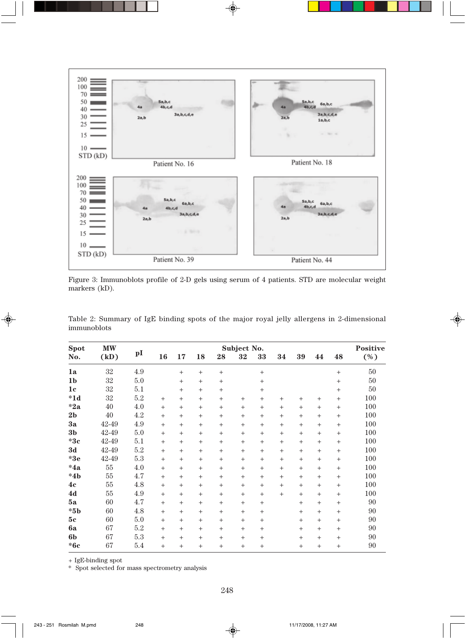

Figure 3: Immunoblots profile of 2-D gels using serum of 4 patients. STD are molecular weight markers (kD).

| <b>Spot</b>    | <b>MW</b> |     | Subject No.     |        |        |                 |        |                 |        |        |     | <b>Positive</b> |     |
|----------------|-----------|-----|-----------------|--------|--------|-----------------|--------|-----------------|--------|--------|-----|-----------------|-----|
| No.            | (kD)      | pI  | 16              | 17     | 18     | 28              | 32     | 33              | 34     | 39     | 44  | 48              | (%) |
| 1a             | 32        | 4.9 |                 | $+$    | $^{+}$ | $^{+}$          |        | $+$             |        |        |     | $+$             | 50  |
| 1 <sub>b</sub> | 32        | 5.0 |                 | $^{+}$ | $+$    | $^{+}$          |        | $^{+}$          |        |        |     | $\! + \!\!\!\!$ | 50  |
| 1 <sub>c</sub> | 32        | 5.1 |                 | $+$    | $+$    | $^{+}$          |        | $^{+}$          |        |        |     | $\! +$          | 50  |
| $*1d$          | 32        | 5.2 | $^{+}$          | $+$    | $+$    | $^{+}$          | $+$    | $+$             | $+$    | $+$    | $+$ | $+$             | 100 |
| $*2a$          | 40        | 4.0 | $^{+}$          | $+$    | $+$    | $^{+}$          | $+$    | $+$             | $+$    | $+$    | $+$ | $+$             | 100 |
| 2 <sub>b</sub> | 40        | 4.2 | $^{+}$          | $^{+}$ | $^{+}$ | $^{+}$          | $+$    | $\! +$          | $^{+}$ | $+$    | $+$ | $\! + \!\!\!\!$ | 100 |
| 3a             | 42-49     | 4.9 | $\! + \!\!\!\!$ | $+$    | $+$    | $^{+}$          | $+$    | $\! +$          | $^{+}$ | $+$    | $+$ | $^{+}$          | 100 |
| 3 <sub>b</sub> | 42-49     | 5.0 | $+$             | $+$    | $+$    | $\! + \!\!\!\!$ | $+$    | $\! +$          | $^{+}$ | $+$    | $+$ | $^{+}$          | 100 |
| $*3c$          | 42-49     | 5.1 | $\! + \!\!\!\!$ | $^{+}$ | $^{+}$ | $^{+}$          | $^{+}$ | $\! +$          | $^{+}$ | $^{+}$ | $+$ | $^{+}$          | 100 |
| 3d             | 42-49     | 5.2 | $+$             | $+$    | $+$    | $^{+}$          | $+$    | $\! +$          | $^{+}$ | $+$    | $+$ | $^{+}$          | 100 |
| $*3e$          | 42-49     | 5.3 | $\! + \!\!\!\!$ | $+$    | $^{+}$ | $^{+}$          | $^{+}$ | $\! +$          | $^{+}$ | $+$    | $+$ | $^{+}$          | 100 |
| $*4a$          | 55        | 4.0 | $^{+}$          | $+$    | $+$    | $^{+}$          | $+$    | $+$             | $^{+}$ | $+$    | $+$ | $+$             | 100 |
| $*4b$          | 55        | 4.7 | $^{+}$          | $+$    | $+$    | $^{+}$          | $+$    | $+$             | $^{+}$ | $+$    | $+$ | $+$             | 100 |
| 4c             | 55        | 4.8 | $^{+}$          | $^{+}$ | $+$    | $^{+}$          | $+$    | $\! +$          | $^{+}$ | $+$    | $+$ | $\! + \!\!\!\!$ | 100 |
| 4d             | 55        | 4.9 | $^{+}$          | $+$    | $+$    | $^{+}$          | $+$    | $+$             | $^{+}$ | $+$    | $+$ | $\! + \!\!\!\!$ | 100 |
| 5a             | 60        | 4.7 | $^{+}$          | $+$    | $+$    | $^{+}$          | $+$    | $\! +$          |        | $+$    | $+$ | $\! + \!\!\!\!$ | 90  |
| $\rm ^*5b$     | 60        | 4.8 | $^{+}$          | $+$    | $+$    | $^{+}$          | $+$    | $\! +$          |        | $+$    | $+$ | $\! + \!\!\!\!$ | 90  |
| 5c             | 60        | 5.0 | $^{+}$          | $+$    | $+$    | $^{+}$          | $+$    | $\! +$          |        | $+$    | $+$ | $^{+}$          | 90  |
| 6a             | 67        | 5.2 | $^{+}$          | $+$    | $^{+}$ | $^{+}$          | $+$    | $\! +$          |        | $+$    | $+$ | $\! + \!\!\!\!$ | 90  |
| 6 <sub>b</sub> | 67        | 5.3 | $^{+}$          | $+$    | $+$    | $^{+}$          | $+$    | $\! +$          |        | $+$    | $+$ | $\! + \!\!\!\!$ | 90  |
| $*6c$          | 67        | 5.4 | $^{+}$          | $+$    | $+$    | $^{+}$          | $+$    | $\! + \!\!\!\!$ |        | $+$    | $+$ | $\ddot{}$       | 90  |

Table 2: Summary of IgE binding spots of the major royal jelly allergens in 2-dimensional immunoblots

+ IgE-binding spot

\* Spot selected for mass spectrometry analysis

 $\bigoplus$ 

 $\bf \bigcirc$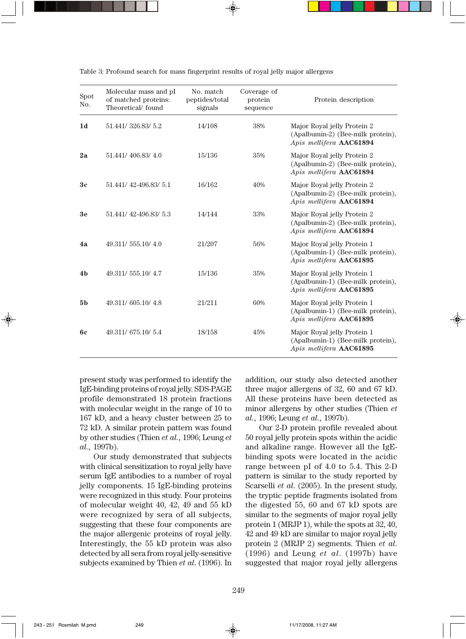| Spot<br>No.    | Molecular mass and pI<br>of matched proteins:<br>Theoretical/found | No. match<br>peptides/total<br>signals | Coverage of<br>protein<br>sequence | Protein description                                                                         |
|----------------|--------------------------------------------------------------------|----------------------------------------|------------------------------------|---------------------------------------------------------------------------------------------|
| 1 <sub>d</sub> | 51.441/326.83/5.2                                                  | 14/108                                 | 38%                                | Major Royal jelly Protein 2<br>(Apalbumin-2) (Bee-milk protein),<br>Apis mellifera AAC61894 |
| 2a             | 51.441/406.83/4.0                                                  | 15/136                                 | 35%                                | Major Royal jelly Protein 2<br>(Apalbumin-2) (Bee-milk protein),<br>Apis mellifera AAC61894 |
| 3c             | 51.441/42-496.83/5.1                                               | 16/162                                 | 40%                                | Major Royal jelly Protein 2<br>(Apalbumin-2) (Bee-milk protein),<br>Apis mellifera AAC61894 |
| 3 <sub>e</sub> | 51.441/42-496.83/5.3                                               | 14/144                                 | 33%                                | Major Royal jelly Protein 2<br>(Apalbumin-2) (Bee-milk protein),<br>Apis mellifera AAC61894 |
| 4a             | 49.311/555.10/4.0                                                  | 21/207                                 | 56%                                | Major Royal jelly Protein 1<br>(Apalbumin-1) (Bee-milk protein),<br>Apis mellifera AAC61895 |
| 4 <sub>b</sub> | 49.311/555.10/4.7                                                  | 15/136                                 | 35%                                | Major Royal jelly Protein 1<br>(Apalbumin-1) (Bee-milk protein),<br>Apis mellifera AAC61895 |
| 5 <sub>b</sub> | 49.311/605.10/4.8                                                  | 21/211                                 | 60%                                | Major Royal jelly Protein 1<br>(Apalbumin-1) (Bee-milk protein),<br>Apis mellifera AAC61895 |
| <b>6c</b>      | 49.311/675.10/5.4                                                  | 18/158                                 | 45%                                | Major Royal jelly Protein 1<br>(Apalbumin-1) (Bee-milk protein),<br>Apis mellifera AAC61895 |

Table 3: Profound search for mass fingerprint results of royal jelly major allergens

present study was performed to identify the IgE-binding proteins of royal jelly. SDS-PAGE profile demonstrated 18 protein fractions with molecular weight in the range of 10 to 167 kD, and a heavy cluster between 25 to 72 kD. A similar protein pattern was found by other studies (Thien *et al.,* 1996; Leung *et al.,* 1997b).

Our study demonstrated that subjects with clinical sensitization to royal jelly have serum IgE antibodies to a number of royal jelly components. 15 IgE-binding proteins were recognized in this study. Four proteins of molecular weight 40, 42, 49 and 55 kD were recognized by sera of all subjects, suggesting that these four components are the major allergenic proteins of royal jelly. Interestingly, the 55 kD protein was also detected by all sera from royal jelly-sensitive subjects examined by Thien *et al*. (1996). In

addition, our study also detected another three major allergens of 32, 60 and 67 kD. All these proteins have been detected as minor allergens by other studies (Thien *et al.,* 1996; Leung *et al.,* 1997b).

Our 2-D protein profile revealed about 50 royal jelly protein spots within the acidic and alkaline range. However all the IgEbinding spots were located in the acidic range between pI of 4.0 to 5.4. This 2-D pattern is similar to the study reported by Scarselli *et al*. (2005). In the present study, the tryptic peptide fragments isolated from the digested 55, 60 and 67 kD spots are similar to the segments of major royal jelly protein 1 (MRJP 1), while the spots at 32, 40, 42 and 49 kD are similar to major royal jelly protein 2 (MRJP 2) segments. Thien *et al*. (1996) and Leung *et al*. (1997b) have suggested that major royal jelly allergens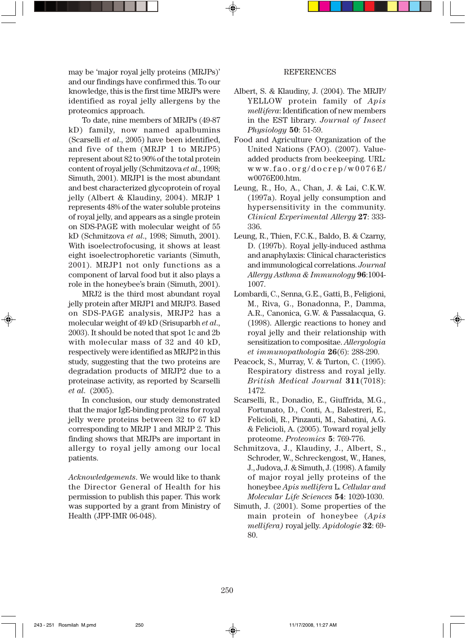may be 'major royal jelly proteins (MRJPs)' and our findings have confirmed this. To our knowledge, this is the first time MRJPs were identified as royal jelly allergens by the proteomics approach.

To date, nine members of MRJPs (49-87 kD) family, now named apalbumins (Scarselli *et al*., 2005) have been identified, and five of them (MRJP 1 to MRJP5) represent about 82 to 90% of the total protein content of royal jelly (Schmitzova *et al*., 1998; Simuth, 2001). MRJP1 is the most abundant and best characterized glycoprotein of royal jelly (Albert & Klaudiny, 2004). MRJP 1 represents 48% of the water soluble proteins of royal jelly, and appears as a single protein on SDS-PAGE with molecular weight of 55 kD (Schmitzova *et al*., 1998; Simuth, 2001). With isoelectrofocusing, it shows at least eight isoelectrophoretic variants (Simuth, 2001). MRJP1 not only functions as a component of larval food but it also plays a role in the honeybee's brain (Simuth, 2001).

MRJ2 is the third most abundant royal jelly protein after MRJP1 and MRJP3. Based on SDS-PAGE analysis, MRJP2 has a molecular weight of 49 kD (Srisuparbh *et al*., 2003). It should be noted that spot 1c and 2b with molecular mass of 32 and 40 kD, respectively were identified as MRJP2 in this study, suggesting that the two proteins are degradation products of MRJP2 due to a proteinase activity, as reported by Scarselli *et al*. (2005).

In conclusion, our study demonstrated that the major IgE-binding proteins for royal jelly were proteins between 32 to 67 kD corresponding to MRJP 1 and MRJP 2. This finding shows that MRJPs are important in allergy to royal jelly among our local patients.

*Acknowledgements*. We would like to thank the Director General of Health for his permission to publish this paper. This work was supported by a grant from Ministry of Health (JPP-IMR 06-048).

#### REFERENCES

- Albert, S. & Klaudiny, J. (2004). The MRJP/ YELLOW protein family of *Apis mellifera*: Identification of new members in the EST library. *Journal of Insect Physiology* **50**: 51-59.
- Food and Agriculture Organization of the United Nations (FAO). (2007). Valueadded products from beekeeping. URL: www.fao.org/docrep/w0076E/ w0076E00.htm.
- Leung, R., Ho, A., Chan, J. & Lai, C.K.W. (1997a). Royal jelly consumption and hypersensitivity in the community. *Clinical Experimental Allergy* **27**: 333- 336.
- Leung, R., Thien, F.C.K., Baldo, B. & Czarny, D. (1997b). Royal jelly-induced asthma and anaphylaxis: Clinical characteristics and immunological correlations. *Journal Allergy Asthma & Immunology* **96**:1004- 1007.
- Lombardi, C., Senna, G.E., Gatti, B., Feligioni, M., Riva, G., Bonadonna, P., Damma, A.R., Canonica, G.W. & Passalacqua, G. (1998). Allergic reactions to honey and royal jelly and their relationship with sensitization to compositae. *Allergologia et immunopathologia* **26**(6): 288-290.
- Peacock, S., Murray, V. & Turton, C. (1995). Respiratory distress and royal jelly. *British Medical Journal* **311**(7018): 1472.
- Scarselli, R., Donadio, E., Giuffrida, M.G., Fortunato, D., Conti, A., Balestreri, E., Felicioli, R., Pinzauti, M., Sabatini, A.G. & Felicioli, A. (2005). Toward royal jelly proteome. *Proteomics* **5**: 769-776.
- Schmitzova, J., Klaudiny, J., Albert, S., Schroder, W., Schreckengost, W., Hanes, J., Judova, J. & Simuth, J. (1998). A family of major royal jelly proteins of the honeybee *Apis mellifera* L. *Cellular and Molecular Life Sciences* **54**: 1020-1030.
- Simuth, J. (2001). Some properties of the main protein of honeybee (*Apis mellifera)* royal jelly. *Apidologie* **32**: 69- 80.